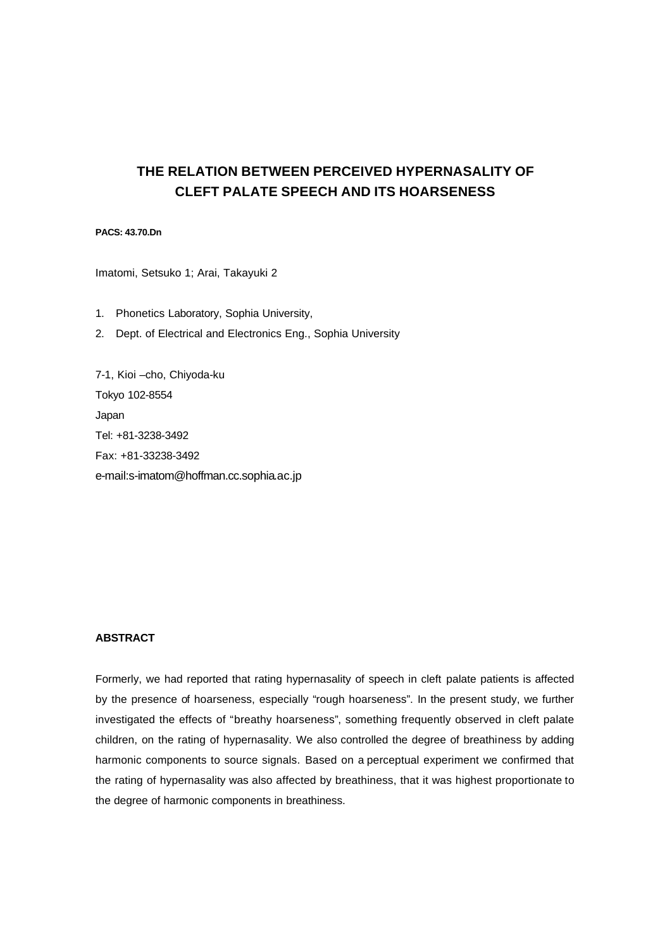# **THE RELATION BETWEEN PERCEIVED HYPERNASALITY OF CLEFT PALATE SPEECH AND ITS HOARSENESS**

# **PACS: 43.70.Dn**

Imatomi, Setsuko 1; Arai, Takayuki 2

- 1. Phonetics Laboratory, Sophia University,
- 2. Dept. of Electrical and Electronics Eng., Sophia University

7-1, Kioi –cho, Chiyoda-ku Tokyo 102-8554 Japan Tel: +81-3238-3492 Fax: +81-33238-3492 e-mail:s-imatom@hoffman.cc.sophia.ac.jp

# **ABSTRACT**

Formerly, we had reported that rating hypernasality of speech in cleft palate patients is affected by the presence of hoarseness, especially "rough hoarseness". In the present study, we further investigated the effects of "breathy hoarseness", something frequently observed in cleft palate children, on the rating of hypernasality. We also controlled the degree of breathiness by adding harmonic components to source signals. Based on a perceptual experiment we confirmed that the rating of hypernasality was also affected by breathiness, that it was highest proportionate to the degree of harmonic components in breathiness.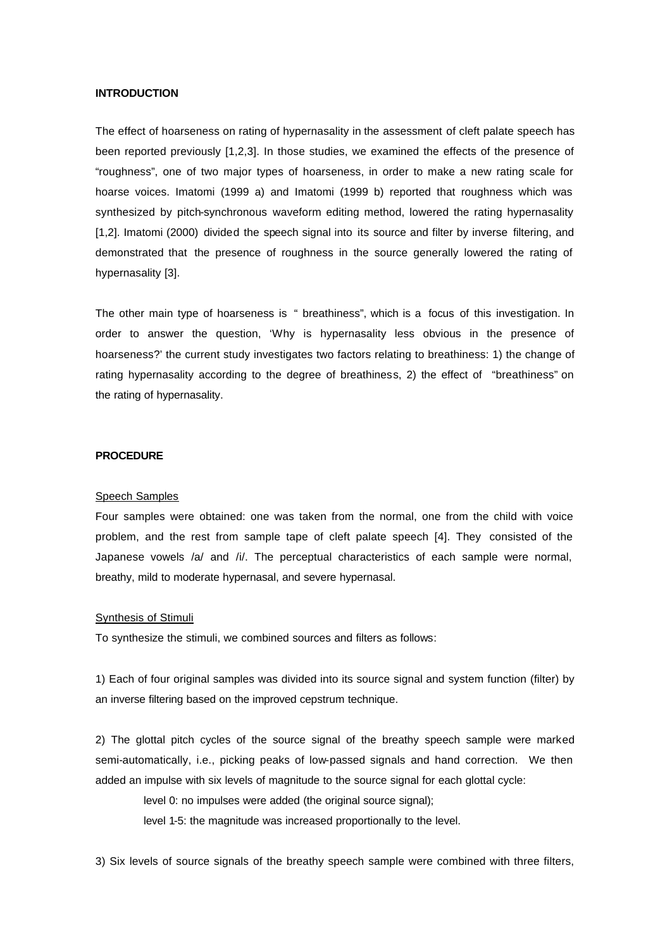# **INTRODUCTION**

The effect of hoarseness on rating of hypernasality in the assessment of cleft palate speech has been reported previously [1,2,3]. In those studies, we examined the effects of the presence of "roughness", one of two major types of hoarseness, in order to make a new rating scale for hoarse voices. Imatomi (1999 a) and Imatomi (1999 b) reported that roughness which was synthesized by pitch-synchronous waveform editing method, lowered the rating hypernasality [1,2]. Imatomi (2000) divided the speech signal into its source and filter by inverse filtering, and demonstrated that the presence of roughness in the source generally lowered the rating of hypernasality [3].

The other main type of hoarseness is " breathiness", which is a focus of this investigation. In order to answer the question, 'Why is hypernasality less obvious in the presence of hoarseness?' the current study investigates two factors relating to breathiness: 1) the change of rating hypernasality according to the degree of breathiness, 2) the effect of "breathiness" on the rating of hypernasality.

#### **PROCEDURE**

#### Speech Samples

Four samples were obtained: one was taken from the normal, one from the child with voice problem, and the rest from sample tape of cleft palate speech [4]. They consisted of the Japanese vowels /a/ and /i/. The perceptual characteristics of each sample were normal, breathy, mild to moderate hypernasal, and severe hypernasal.

# Synthesis of Stimuli

To synthesize the stimuli, we combined sources and filters as follows:

1) Each of four original samples was divided into its source signal and system function (filter) by an inverse filtering based on the improved cepstrum technique.

2) The glottal pitch cycles of the source signal of the breathy speech sample were marked semi-automatically, i.e., picking peaks of low-passed signals and hand correction. We then added an impulse with six levels of magnitude to the source signal for each glottal cycle:

level 0: no impulses were added (the original source signal);

level 1-5: the magnitude was increased proportionally to the level.

3) Six levels of source signals of the breathy speech sample were combined with three filters,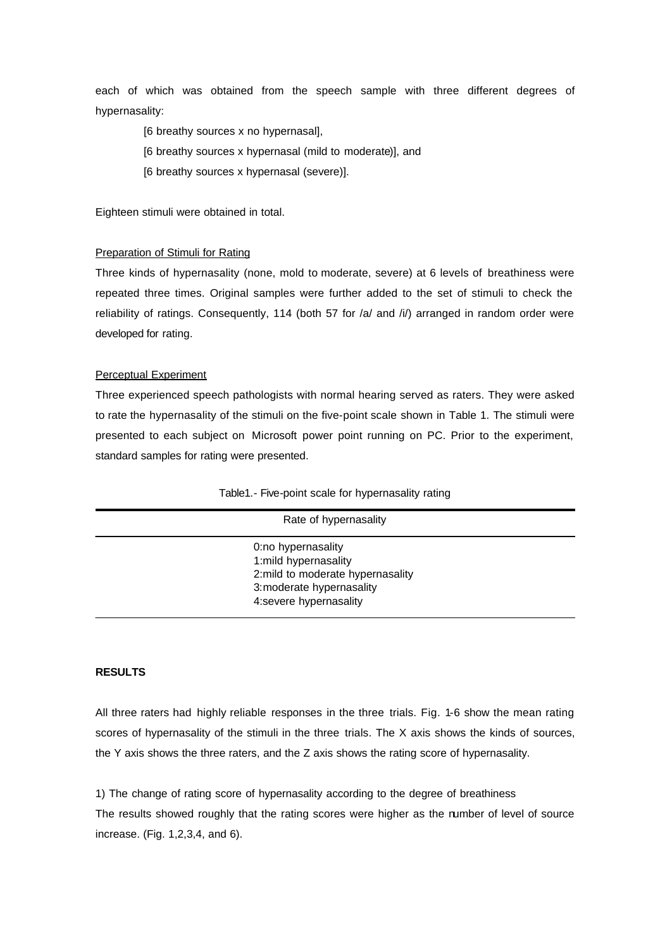each of which was obtained from the speech sample with three different degrees of hypernasality:

- [6 breathy sources x no hypernasal],
- [6 breathy sources x hypernasal (mild to moderate)], and
- [6 breathy sources x hypernasal (severe)].

Eighteen stimuli were obtained in total.

# Preparation of Stimuli for Rating

Three kinds of hypernasality (none, mold to moderate, severe) at 6 levels of breathiness were repeated three times. Original samples were further added to the set of stimuli to check the reliability of ratings. Consequently, 114 (both 57 for /a/ and /i/) arranged in random order were developed for rating.

# Perceptual Experiment

Three experienced speech pathologists with normal hearing served as raters. They were asked to rate the hypernasality of the stimuli on the five-point scale shown in Table 1. The stimuli were presented to each subject on Microsoft power point running on PC. Prior to the experiment, standard samples for rating were presented.

| Rate of hypernasality |                                                                                                                                       |  |
|-----------------------|---------------------------------------------------------------------------------------------------------------------------------------|--|
|                       | 0:no hypernasality<br>1:mild hypernasality<br>2:mild to moderate hypernasality<br>3: moderate hypernasality<br>4:severe hypernasality |  |

Table1.- Five-point scale for hypernasality rating

# **RESULTS**

All three raters had highly reliable responses in the three trials. Fig. 1-6 show the mean rating scores of hypernasality of the stimuli in the three trials. The X axis shows the kinds of sources, the Y axis shows the three raters, and the Z axis shows the rating score of hypernasality.

1) The change of rating score of hypernasality according to the degree of breathiness The results showed roughly that the rating scores were higher as the number of level of source increase. (Fig. 1,2,3,4, and 6).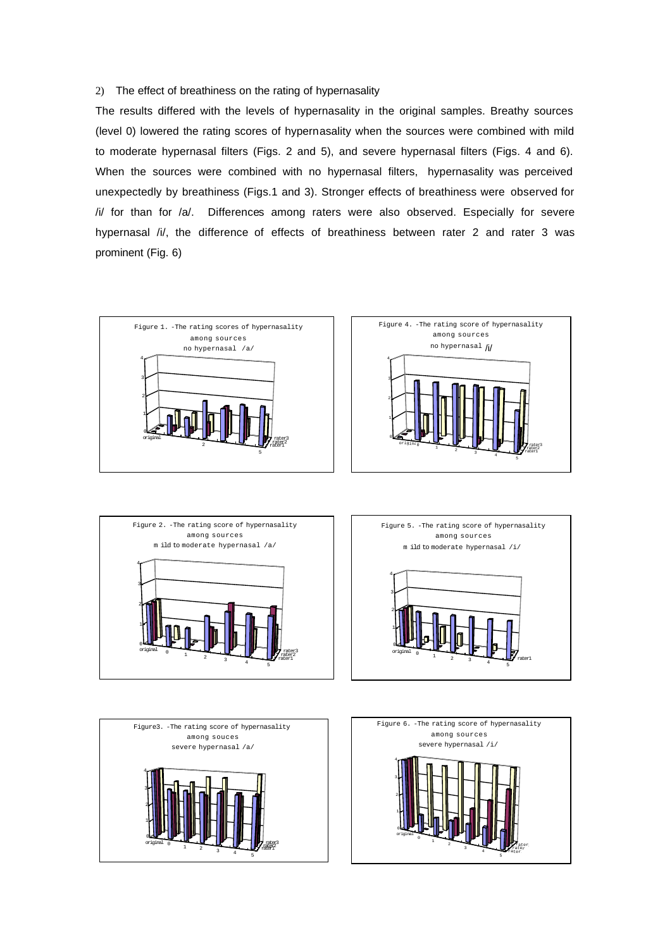# 2) The effect of breathiness on the rating of hypernasality

The results differed with the levels of hypernasality in the original samples. Breathy sources (level 0) lowered the rating scores of hypernasality when the sources were combined with mild to moderate hypernasal filters (Figs. 2 and 5), and severe hypernasal filters (Figs. 4 and 6). When the sources were combined with no hypernasal filters, hypernasality was perceived unexpectedly by breathiness (Figs.1 and 3). Stronger effects of breathiness were observed for /i/ for than for /a/. Differences among raters were also observed. Especially for severe hypernasal /i/, the difference of effects of breathiness between rater 2 and rater 3 was prominent (Fig. 6)











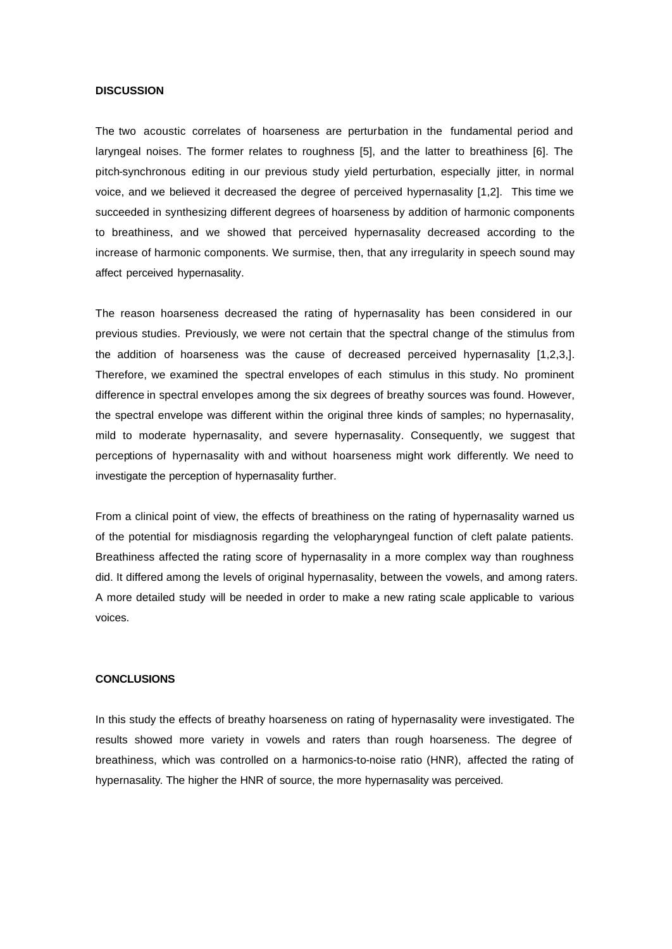#### **DISCUSSION**

The two acoustic correlates of hoarseness are perturbation in the fundamental period and laryngeal noises. The former relates to roughness [5], and the latter to breathiness [6]. The pitch-synchronous editing in our previous study yield perturbation, especially jitter, in normal voice, and we believed it decreased the degree of perceived hypernasality [1,2]. This time we succeeded in synthesizing different degrees of hoarseness by addition of harmonic components to breathiness, and we showed that perceived hypernasality decreased according to the increase of harmonic components. We surmise, then, that any irregularity in speech sound may affect perceived hypernasality.

The reason hoarseness decreased the rating of hypernasality has been considered in our previous studies. Previously, we were not certain that the spectral change of the stimulus from the addition of hoarseness was the cause of decreased perceived hypernasality [1,2,3,]. Therefore, we examined the spectral envelopes of each stimulus in this study. No prominent difference in spectral envelopes among the six degrees of breathy sources was found. However, the spectral envelope was different within the original three kinds of samples; no hypernasality, mild to moderate hypernasality, and severe hypernasality. Consequently, we suggest that perceptions of hypernasality with and without hoarseness might work differently. We need to investigate the perception of hypernasality further.

From a clinical point of view, the effects of breathiness on the rating of hypernasality warned us of the potential for misdiagnosis regarding the velopharyngeal function of cleft palate patients. Breathiness affected the rating score of hypernasality in a more complex way than roughness did. It differed among the levels of original hypernasality, between the vowels, and among raters. A more detailed study will be needed in order to make a new rating scale applicable to various voices.

#### **CONCLUSIONS**

In this study the effects of breathy hoarseness on rating of hypernasality were investigated. The results showed more variety in vowels and raters than rough hoarseness. The degree of breathiness, which was controlled on a harmonics-to-noise ratio (HNR), affected the rating of hypernasality. The higher the HNR of source, the more hypernasality was perceived.